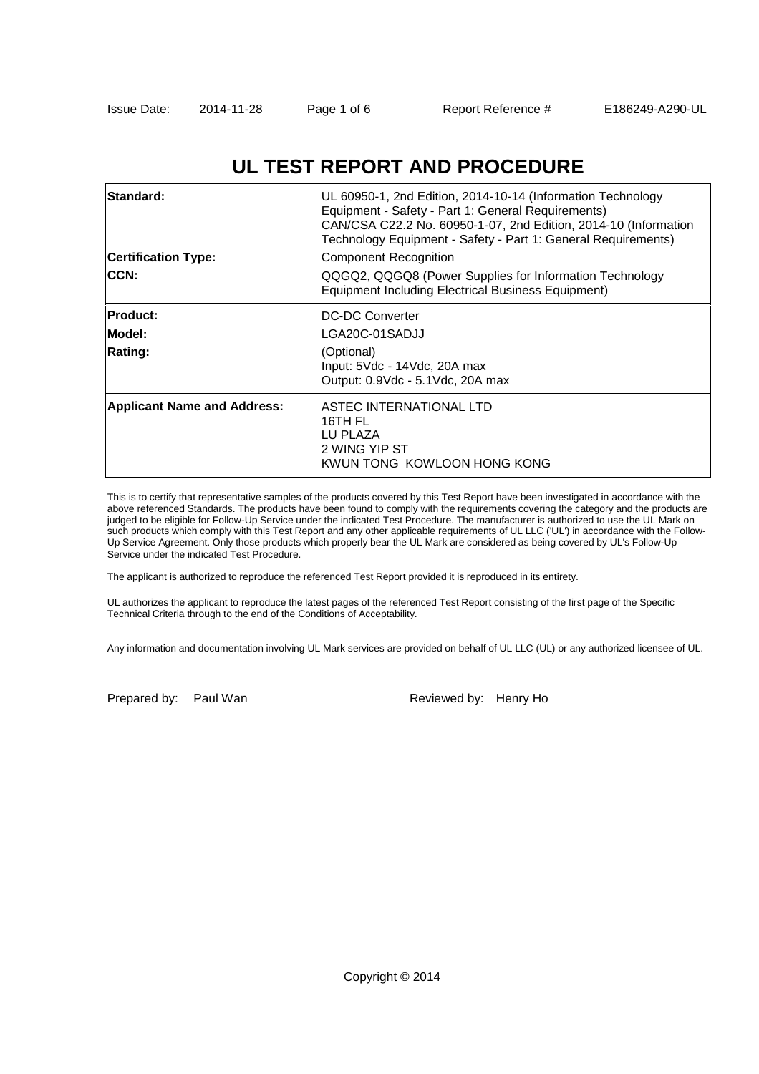# **UL TEST REPORT AND PROCEDURE**

| <b>Standard:</b><br><b>Certification Type:</b><br><b>CCN:</b> | UL 60950-1, 2nd Edition, 2014-10-14 (Information Technology<br>Equipment - Safety - Part 1: General Requirements)<br>CAN/CSA C22.2 No. 60950-1-07, 2nd Edition, 2014-10 (Information<br>Technology Equipment - Safety - Part 1: General Requirements)<br><b>Component Recognition</b><br>QQGQ2, QQGQ8 (Power Supplies for Information Technology |
|---------------------------------------------------------------|--------------------------------------------------------------------------------------------------------------------------------------------------------------------------------------------------------------------------------------------------------------------------------------------------------------------------------------------------|
|                                                               | <b>Equipment Including Electrical Business Equipment)</b>                                                                                                                                                                                                                                                                                        |
| <b>Product:</b>                                               | DC-DC Converter                                                                                                                                                                                                                                                                                                                                  |
| Model:                                                        | LGA20C-01SADJJ                                                                                                                                                                                                                                                                                                                                   |
| <b>Rating:</b>                                                | (Optional)                                                                                                                                                                                                                                                                                                                                       |
|                                                               | Input: 5Vdc - 14Vdc, 20A max                                                                                                                                                                                                                                                                                                                     |
|                                                               | Output: 0.9Vdc - 5.1Vdc, 20A max                                                                                                                                                                                                                                                                                                                 |
| <b>Applicant Name and Address:</b>                            | ASTEC INTERNATIONAL LTD<br>16TH FL<br>LU PLAZA<br>2 WING YIP ST<br>KWUN TONG KOWLOON HONG KONG                                                                                                                                                                                                                                                   |

This is to certify that representative samples of the products covered by this Test Report have been investigated in accordance with the above referenced Standards. The products have been found to comply with the requirements covering the category and the products are judged to be eligible for Follow-Up Service under the indicated Test Procedure. The manufacturer is authorized to use the UL Mark on such products which comply with this Test Report and any other applicable requirements of UL LLC ('UL') in accordance with the Follow-Up Service Agreement. Only those products which properly bear the UL Mark are considered as being covered by UL's Follow-Up Service under the indicated Test Procedure.

The applicant is authorized to reproduce the referenced Test Report provided it is reproduced in its entirety.

UL authorizes the applicant to reproduce the latest pages of the referenced Test Report consisting of the first page of the Specific Technical Criteria through to the end of the Conditions of Acceptability.

Any information and documentation involving UL Mark services are provided on behalf of UL LLC (UL) or any authorized licensee of UL.

Prepared by: Paul Wan Reviewed by: Henry Ho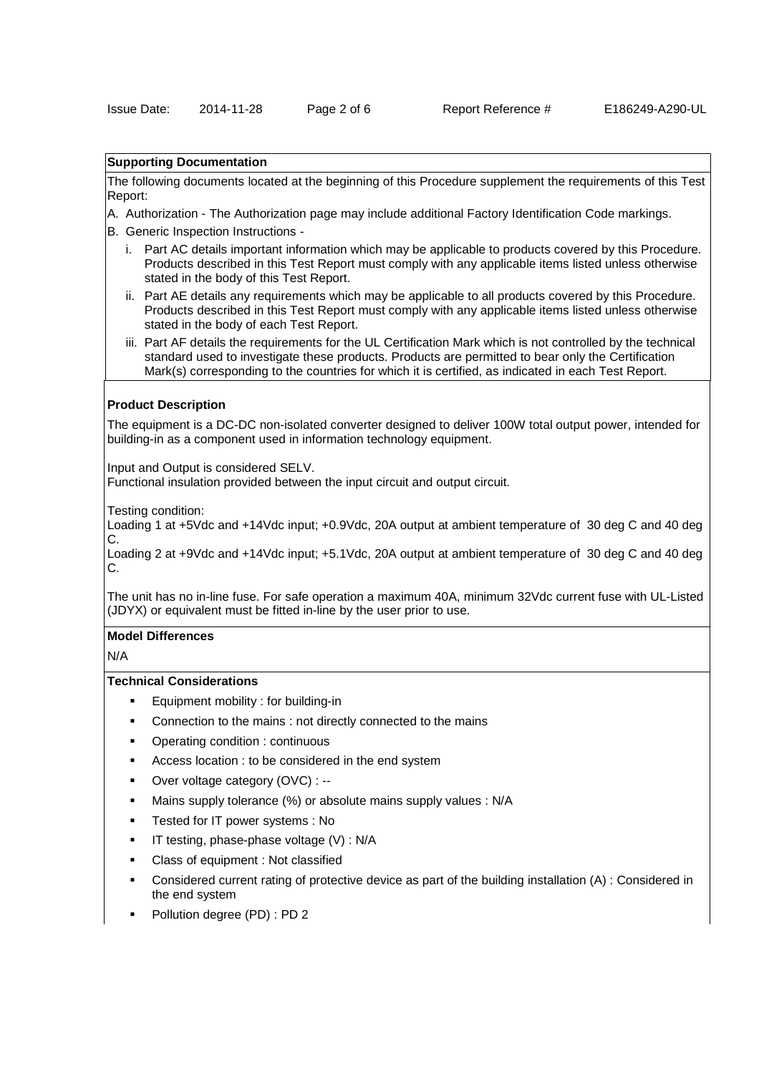## **Supporting Documentation**

The following documents located at the beginning of this Procedure supplement the requirements of this Test Report:

- A. Authorization The Authorization page may include additional Factory Identification Code markings.
- B. Generic Inspection Instructions
	- i. Part AC details important information which may be applicable to products covered by this Procedure. Products described in this Test Report must comply with any applicable items listed unless otherwise stated in the body of this Test Report.
	- ii. Part AE details any requirements which may be applicable to all products covered by this Procedure. Products described in this Test Report must comply with any applicable items listed unless otherwise stated in the body of each Test Report.
	- iii. Part AF details the requirements for the UL Certification Mark which is not controlled by the technical standard used to investigate these products. Products are permitted to bear only the Certification Mark(s) corresponding to the countries for which it is certified, as indicated in each Test Report.

#### **Product Description**

The equipment is a DC-DC non-isolated converter designed to deliver 100W total output power, intended for building-in as a component used in information technology equipment.

Input and Output is considered SELV.

Functional insulation provided between the input circuit and output circuit.

Testing condition:

Loading 1 at +5Vdc and +14Vdc input; +0.9Vdc, 20A output at ambient temperature of 30 deg C and 40 deg C.

Loading 2 at +9Vdc and +14Vdc input; +5.1Vdc, 20A output at ambient temperature of 30 deg C and 40 deg C.

The unit has no in-line fuse. For safe operation a maximum 40A, minimum 32Vdc current fuse with UL-Listed (JDYX) or equivalent must be fitted in-line by the user prior to use.

# **Model Differences**

N/A

### **Technical Considerations**

- Equipment mobility : for building-in
- Connection to the mains : not directly connected to the mains
- Operating condition : continuous
- Access location : to be considered in the end system
- Over voltage category (OVC) : --
- Mains supply tolerance (%) or absolute mains supply values : N/A
- Tested for IT power systems : No
- IT testing, phase-phase voltage (V) : N/A
- Class of equipment : Not classified
- Considered current rating of protective device as part of the building installation (A) : Considered in the end system
- Pollution degree (PD) : PD 2